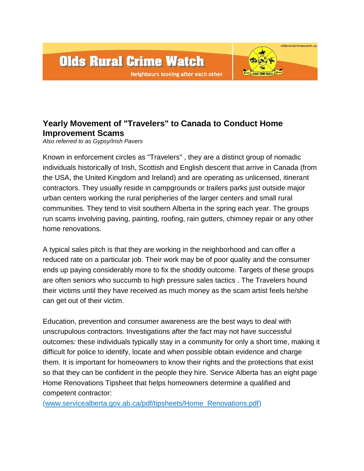

## **Yearly Movement of "Travelers" to Canada to Conduct Home Improvement Scams**

*Also referred to as Gypsy/Irish Pavers*

Known in enforcement circles as "Travelers" , they are a distinct group of nomadic individuals historically of Irish, Scottish and English descent that arrive in Canada (from the USA, the United Kingdom and Ireland) and are operating as unlicensed, itinerant contractors. They usually reside in campgrounds or trailers parks just outside major urban centers working the rural peripheries of the larger centers and small rural communities. They tend to visit southern Alberta in the spring each year. The groups run scams involving paving, painting, roofing, rain gutters, chimney repair or any other home renovations.

A typical sales pitch is that they are working in the neighborhood and can offer a reduced rate on a particular job. Their work may be of poor quality and the consumer ends up paying considerably more to fix the shoddy outcome. Targets of these groups are often seniors who succumb to high pressure sales tactics . The Travelers hound their victims until they have received as much money as the scam artist feels he/she can get out of their victim.

Education, prevention and consumer awareness are the best ways to deal with unscrupulous contractors. Investigations after the fact may not have successful outcomes: these individuals typically stay in a community for only a short time, making it difficult for police to identify, locate and when possible obtain evidence and charge them. It is important for homeowners to know their rights and the protections that exist so that they can be confident in the people they hire. Service Alberta has an eight page Home Renovations Tipsheet that helps homeowners determine a qualified and competent contractor:

[\(www.servicealberta.gov.ab.ca/pdf/tipsheets/Home\\_Renovations.pdf\)](http://www.servicealberta.gov.ab.ca/pdf/tipsheets/Home_Renovations.pdf)